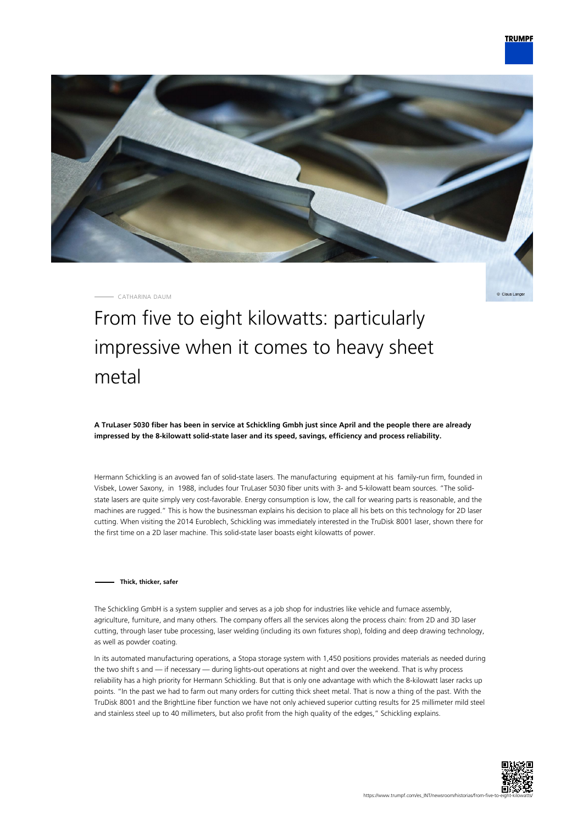

CATHARINA DAUM

Claus Lange

# From five to eight kilowatts: particularly impressive when it comes to heavy sheet metal

**A TruLaser 5030 fiber has been in service at Schickling Gmbh just since April and the people there are already impressed by the 8-kilowatt solid-state laser and its speed, savings, efficiency and process reliability.**

Hermann Schickling is an avowed fan of solid-state lasers. The manufacturing equipment at his family-run firm, founded in Visbek, Lower Saxony, in 1988, includes four TruLaser 5030 fiber units with 3- and 5-kilowatt beam sources. "The solidstate lasers are quite simply very cost-favorable. Energy consumption is low, the call for wearing parts is reasonable, and the machines are rugged." This is how the businessman explains his decision to place all his bets on this technology for 2D laser cutting. When visiting the 2014 Euroblech, Schickling was immediately interested in the TruDisk 8001 laser, shown there for the first time on a 2D laser machine. This solid-state laser boasts eight kilowatts of power.

#### **Thick, thicker, safer**

The Schickling GmbH is a system supplier and serves as a job shop for industries like vehicle and furnace assembly, agriculture, furniture, and many others. The company offers all the services along the process chain: from 2D and 3D laser cutting, through laser tube processing, laser welding (including its own fixtures shop), folding and deep drawing technology, as well as powder coating.

In its automated manufacturing operations, a Stopa storage system with 1,450 positions provides materials as needed during the two shift s and — if necessary — during lights-out operations at night and over the weekend. That is why process reliability has a high priority for Hermann Schickling. But that is only one advantage with which the 8-kilowatt laser racks up points. "In the past we had to farm out many orders for cutting thick sheet metal. That is now a thing of the past. With the TruDisk 8001 and the BrightLine fiber function we have not only achieved superior cutting results for 25 millimeter mild steel and stainless steel up to 40 millimeters, but also profit from the high quality of the edges," Schickling explains.

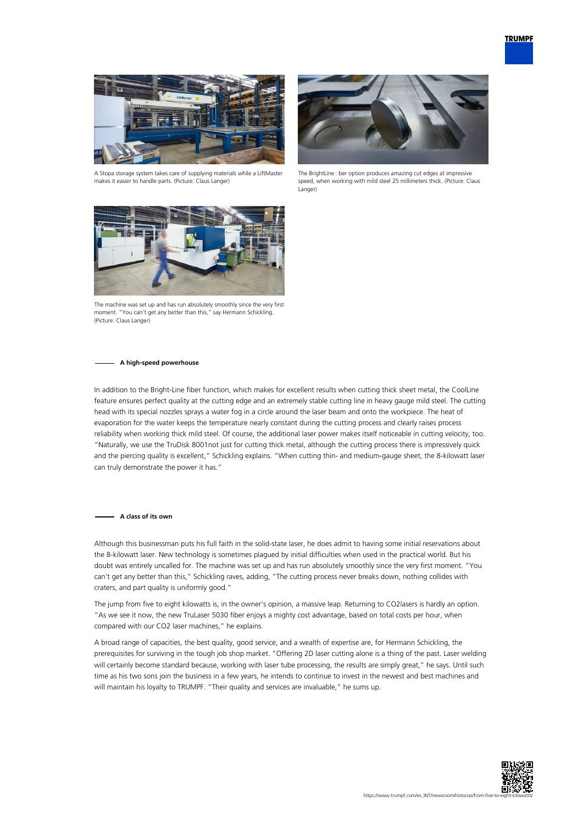

A Stopa storage system takes care of supplying materials while a LiftMaster makes it easier to handle parts. (Picture: Claus Langer)



The BrightLine ciber option produces amazing cut edges at impressive speed, when working with mild steel 25 millimeters thick. (Picture: Claus Langer)



The machine was set up and has run absolutely smoothly since the very first moment. "You can't get any better than this," say Hermann Schickling. (Picture: Claus Langer)

#### **A high-speed powerhouse**

In addition to the Bright-Line fiber function, which makes for excellent results when cutting thick sheet metal, the CoolLine feature ensures perfect quality at the cutting edge and an extremely stable cutting line in heavy gauge mild steel. The cutting head with its special nozzles sprays a water fog in a circle around the laser beam and onto the workpiece. The heat of evaporation for the water keeps the temperature nearly constant during the cutting process and clearly raises process reliability when working thick mild steel. Of course, the additional laser power makes itself noticeable in cutting velocity, too. "Naturally, we use the TruDisk 8001not just for cutting thick metal, although the cutting process there is impressively quick and the piercing quality is excellent," Schickling explains. "When cutting thin- and medium-gauge sheet, the 8-kilowatt laser can truly demonstrate the power it has."

#### **A class of its own**

Although this businessman puts his full faith in the solid-state laser, he does admit to having some initial reservations about the 8-kilowatt laser. New technology is sometimes plagued by initial difficulties when used in the practical world. But his doubt was entirely uncalled for. The machine was set up and has run absolutely smoothly since the very first moment. "You can't get any better than this," Schickling raves, adding, "The cutting process never breaks down, nothing collides with craters, and part quality is uniformly good."

The jump from five to eight kilowatts is, in the owner's opinion, a massive leap. Returning to CO2lasers is hardly an option. "As we see it now, the new TruLaser 5030 fiber enjoys a mighty cost advantage, based on total costs per hour, when compared with our CO2 laser machines," he explains.

A broad range of capacities, the best quality, good service, and a wealth of expertise are, for Hermann Schickling, the prerequisites for surviving in the tough job shop market. "Offering 2D laser cutting alone is a thing of the past. Laser welding will certainly become standard because, working with laser tube processing, the results are simply great," he says. Until such time as his two sons join the business in a few years, he intends to continue to invest in the newest and best machines and will maintain his loyalty to TRUMPF. "Their quality and services are invaluable," he sums up.